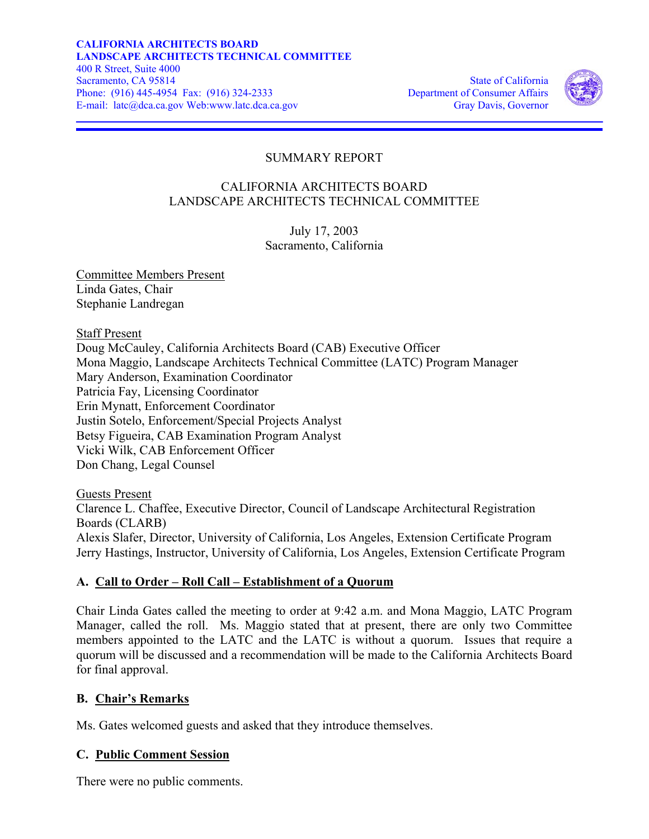

# SUMMARY REPORT

### CALIFORNIA ARCHITECTS BOARD LANDSCAPE ARCHITECTS TECHNICAL COMMITTEE

July 17, 2003 Sacramento, California

Committee Members Present Linda Gates, Chair Stephanie Landregan

Staff Present Doug McCauley, California Architects Board (CAB) Executive Officer Mona Maggio, Landscape Architects Technical Committee (LATC) Program Manager Mary Anderson, Examination Coordinator Patricia Fay, Licensing Coordinator Erin Mynatt, Enforcement Coordinator Justin Sotelo, Enforcement/Special Projects Analyst Betsy Figueira, CAB Examination Program Analyst Vicki Wilk, CAB Enforcement Officer Don Chang, Legal Counsel

Guests Present Clarence L. Chaffee, Executive Director, Council of Landscape Architectural Registration Boards (CLARB) Alexis Slafer, Director, University of California, Los Angeles, Extension Certificate Program Jerry Hastings, Instructor, University of California, Los Angeles, Extension Certificate Program

# **A. Call to Order – Roll Call – Establishment of a Quorum**

Chair Linda Gates called the meeting to order at 9:42 a.m. and Mona Maggio, LATC Program Manager, called the roll. Ms. Maggio stated that at present, there are only two Committee members appointed to the LATC and the LATC is without a quorum. Issues that require a quorum will be discussed and a recommendation will be made to the California Architects Board for final approval.

#### **B. Chair's Remarks**

Ms. Gates welcomed guests and asked that they introduce themselves.

# **C. Public Comment Session**

There were no public comments.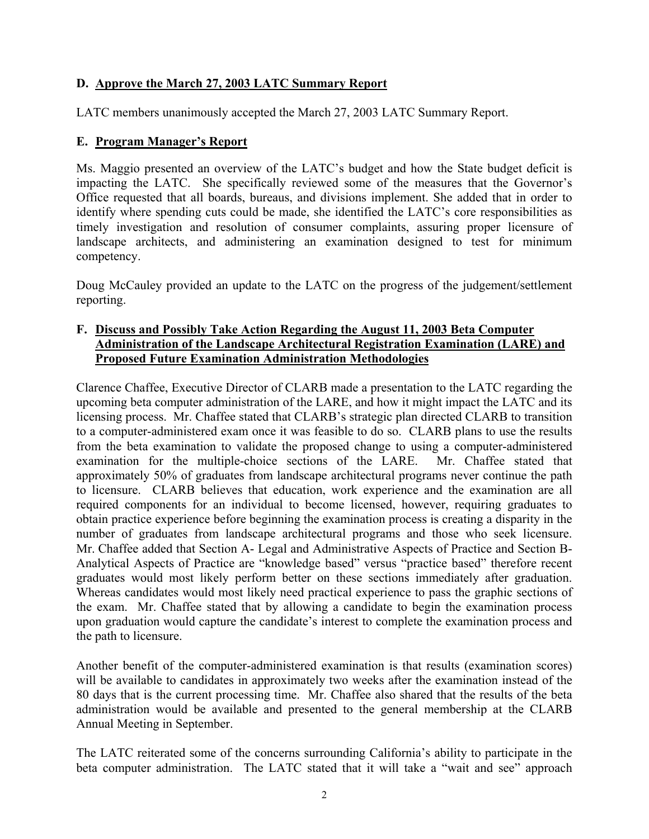### **D. Approve the March 27, 2003 LATC Summary Report**

LATC members unanimously accepted the March 27, 2003 LATC Summary Report.

#### **E. Program Manager's Report**

 impacting the LATC. She specifically reviewed some of the measures that the Governor's Ms. Maggio presented an overview of the LATC's budget and how the State budget deficit is Office requested that all boards, bureaus, and divisions implement. She added that in order to identify where spending cuts could be made, she identified the LATC's core responsibilities as timely investigation and resolution of consumer complaints, assuring proper licensure of landscape architects, and administering an examination designed to test for minimum competency.

Doug McCauley provided an update to the LATC on the progress of the judgement/settlement reporting.

#### **F. Discuss and Possibly Take Action Regarding the August 11, 2003 Beta Computer Administration of the Landscape Architectural Registration Examination (LARE) and Proposed Future Examination Administration Methodologies**

Clarence Chaffee, Executive Director of CLARB made a presentation to the LATC regarding the upcoming beta computer administration of the LARE, and how it might impact the LATC and its licensing process. Mr. Chaffee stated that CLARB's strategic plan directed CLARB to transition to a computer-administered exam once it was feasible to do so. CLARB plans to use the results from the beta examination to validate the proposed change to using a computer-administered examination for the multiple-choice sections of the LARE. Mr. Chaffee stated that approximately 50% of graduates from landscape architectural programs never continue the path to licensure. CLARB believes that education, work experience and the examination are all required components for an individual to become licensed, however, requiring graduates to obtain practice experience before beginning the examination process is creating a disparity in the number of graduates from landscape architectural programs and those who seek licensure. Mr. Chaffee added that Section A- Legal and Administrative Aspects of Practice and Section B-Analytical Aspects of Practice are "knowledge based" versus "practice based" therefore recent graduates would most likely perform better on these sections immediately after graduation. Whereas candidates would most likely need practical experience to pass the graphic sections of the exam. Mr. Chaffee stated that by allowing a candidate to begin the examination process upon graduation would capture the candidate's interest to complete the examination process and the path to licensure.

Another benefit of the computer-administered examination is that results (examination scores) will be available to candidates in approximately two weeks after the examination instead of the 80 days that is the current processing time. Mr. Chaffee also shared that the results of the beta administration would be available and presented to the general membership at the CLARB Annual Meeting in September.

The LATC reiterated some of the concerns surrounding California's ability to participate in the beta computer administration. The LATC stated that it will take a "wait and see" approach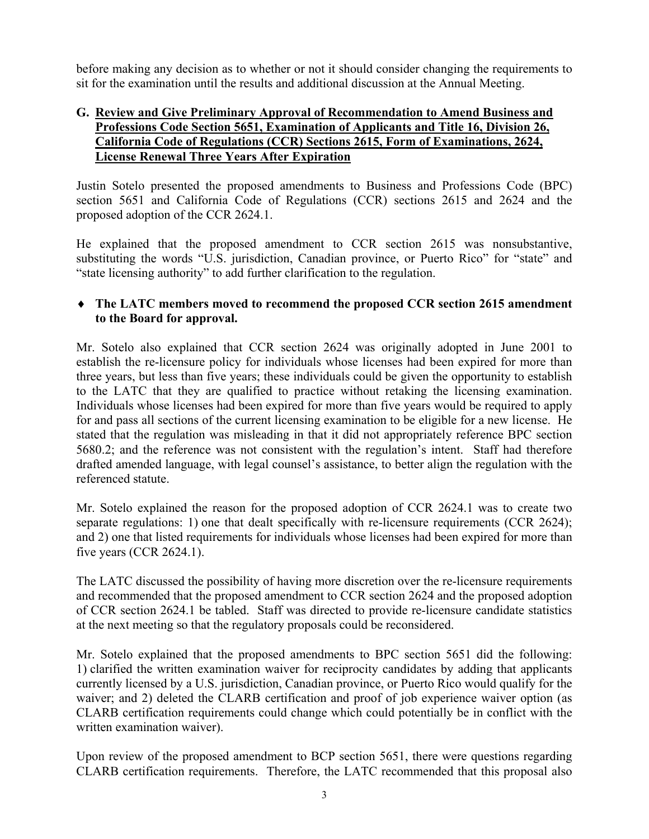before making any decision as to whether or not it should consider changing the requirements to sit for the examination until the results and additional discussion at the Annual Meeting.

#### **G. Review and Give Preliminary Approval of Recommendation to Amend Business and Professions Code Section 5651, Examination of Applicants and Title 16, Division 26, California Code of Regulations (CCR) Sections 2615, Form of Examinations, 2624, License Renewal Three Years After Expiration**

Justin Sotelo presented the proposed amendments to Business and Professions Code (BPC) section 5651 and California Code of Regulations (CCR) sections 2615 and 2624 and the proposed adoption of the CCR 2624.1.

He explained that the proposed amendment to CCR section 2615 was nonsubstantive, substituting the words "U.S. jurisdiction, Canadian province, or Puerto Rico" for "state" and "state licensing authority" to add further clarification to the regulation.

### ♦ **The LATC members moved to recommend the proposed CCR section 2615 amendment to the Board for approval.**

Mr. Sotelo also explained that CCR section 2624 was originally adopted in June 2001 to establish the re-licensure policy for individuals whose licenses had been expired for more than three years, but less than five years; these individuals could be given the opportunity to establish to the LATC that they are qualified to practice without retaking the licensing examination. Individuals whose licenses had been expired for more than five years would be required to apply for and pass all sections of the current licensing examination to be eligible for a new license. He stated that the regulation was misleading in that it did not appropriately reference BPC section 5680.2; and the reference was not consistent with the regulation's intent. Staff had therefore drafted amended language, with legal counsel's assistance, to better align the regulation with the referenced statute.

Mr. Sotelo explained the reason for the proposed adoption of CCR 2624.1 was to create two separate regulations: 1) one that dealt specifically with re-licensure requirements (CCR 2624); and 2) one that listed requirements for individuals whose licenses had been expired for more than five years (CCR 2624.1).

The LATC discussed the possibility of having more discretion over the re-licensure requirements and recommended that the proposed amendment to CCR section 2624 and the proposed adoption of CCR section 2624.1 be tabled. Staff was directed to provide re-licensure candidate statistics at the next meeting so that the regulatory proposals could be reconsidered.

Mr. Sotelo explained that the proposed amendments to BPC section 5651 did the following: 1) clarified the written examination waiver for reciprocity candidates by adding that applicants currently licensed by a U.S. jurisdiction, Canadian province, or Puerto Rico would qualify for the waiver; and 2) deleted the CLARB certification and proof of job experience waiver option (as CLARB certification requirements could change which could potentially be in conflict with the written examination waiver).

Upon review of the proposed amendment to BCP section 5651, there were questions regarding CLARB certification requirements. Therefore, the LATC recommended that this proposal also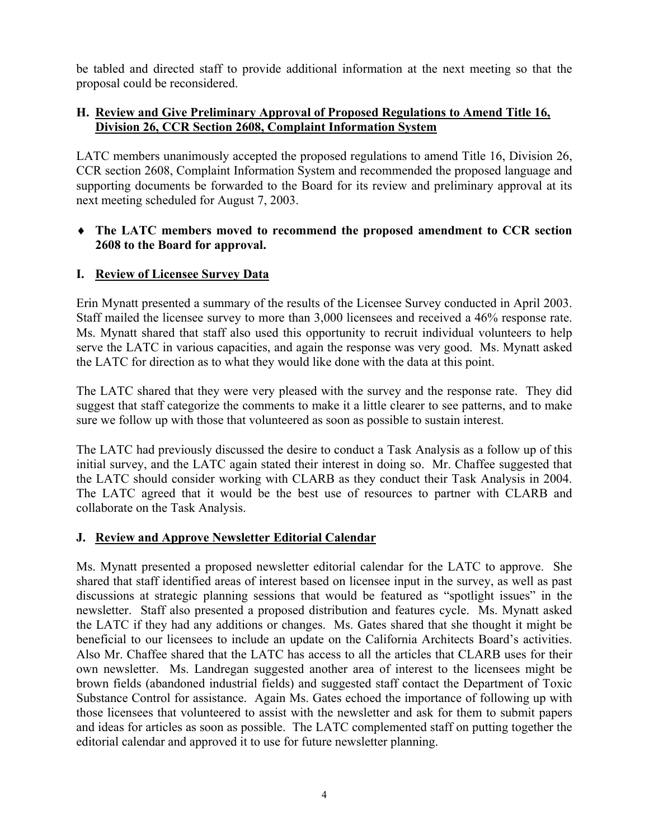be tabled and directed staff to provide additional information at the next meeting so that the proposal could be reconsidered.

#### **H. Review and Give Preliminary Approval of Proposed Regulations to Amend Title 16, Division 26, CCR Section 2608, Complaint Information System**

LATC members unanimously accepted the proposed regulations to amend Title 16, Division 26, CCR section 2608, Complaint Information System and recommended the proposed language and supporting documents be forwarded to the Board for its review and preliminary approval at its next meeting scheduled for August 7, 2003.

#### ♦ **The LATC members moved to recommend the proposed amendment to CCR section 2608 to the Board for approval.**

#### **I. Review of Licensee Survey Data**

Staff mailed the licensee survey to more than 3,000 licensees and received a 46% response rate. Erin Mynatt presented a summary of the results of the Licensee Survey conducted in April 2003. Ms. Mynatt shared that staff also used this opportunity to recruit individual volunteers to help serve the LATC in various capacities, and again the response was very good. Ms. Mynatt asked the LATC for direction as to what they would like done with the data at this point.

The LATC shared that they were very pleased with the survey and the response rate. They did suggest that staff categorize the comments to make it a little clearer to see patterns, and to make sure we follow up with those that volunteered as soon as possible to sustain interest.

The LATC had previously discussed the desire to conduct a Task Analysis as a follow up of this initial survey, and the LATC again stated their interest in doing so. Mr. Chaffee suggested that the LATC should consider working with CLARB as they conduct their Task Analysis in 2004. The LATC agreed that it would be the best use of resources to partner with CLARB and collaborate on the Task Analysis.

# **J. Review and Approve Newsletter Editorial Calendar**

Ms. Mynatt presented a proposed newsletter editorial calendar for the LATC to approve. She shared that staff identified areas of interest based on licensee input in the survey, as well as past discussions at strategic planning sessions that would be featured as "spotlight issues" in the newsletter. Staff also presented a proposed distribution and features cycle. Ms. Mynatt asked the LATC if they had any additions or changes. Ms. Gates shared that she thought it might be beneficial to our licensees to include an update on the California Architects Board's activities. Also Mr. Chaffee shared that the LATC has access to all the articles that CLARB uses for their own newsletter. Ms. Landregan suggested another area of interest to the licensees might be brown fields (abandoned industrial fields) and suggested staff contact the Department of Toxic Substance Control for assistance. Again Ms. Gates echoed the importance of following up with those licensees that volunteered to assist with the newsletter and ask for them to submit papers and ideas for articles as soon as possible. The LATC complemented staff on putting together the editorial calendar and approved it to use for future newsletter planning.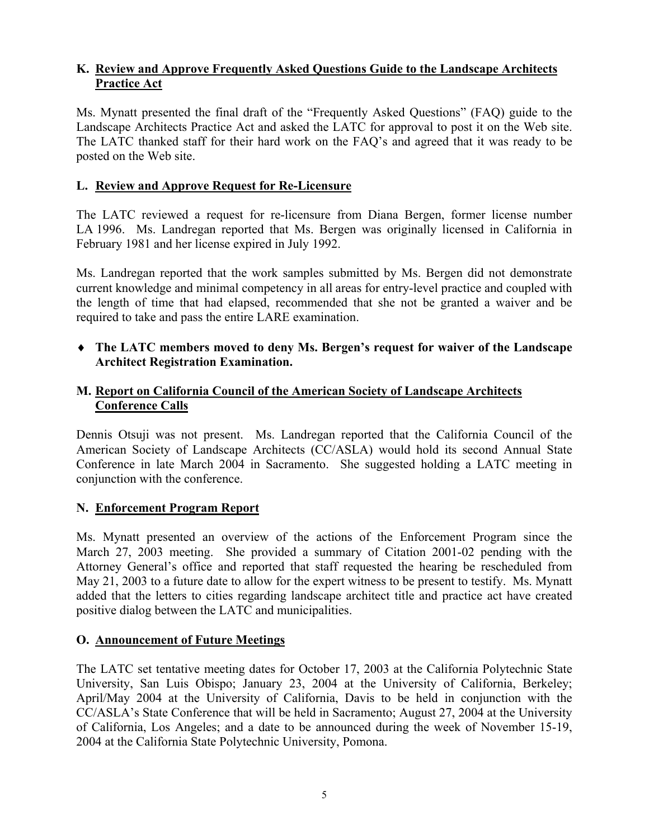#### **K. Review and Approve Frequently Asked Questions Guide to the Landscape Architects Practice Act**

Ms. Mynatt presented the final draft of the "Frequently Asked Questions" (FAQ) guide to the Landscape Architects Practice Act and asked the LATC for approval to post it on the Web site. The LATC thanked staff for their hard work on the FAQ's and agreed that it was ready to be posted on the Web site.

#### **L. Review and Approve Request for Re-Licensure**

The LATC reviewed a request for re-licensure from Diana Bergen, former license number LA 1996. Ms. Landregan reported that Ms. Bergen was originally licensed in California in February 1981 and her license expired in July 1992.

Ms. Landregan reported that the work samples submitted by Ms. Bergen did not demonstrate current knowledge and minimal competency in all areas for entry-level practice and coupled with the length of time that had elapsed, recommended that she not be granted a waiver and be required to take and pass the entire LARE examination.

♦ **The LATC members moved to deny Ms. Bergen's request for waiver of the Landscape Architect Registration Examination.** 

#### **M. Report on California Council of the American Society of Landscape Architects Conference Calls**

Dennis Otsuji was not present. Ms. Landregan reported that the California Council of the American Society of Landscape Architects (CC/ASLA) would hold its second Annual State Conference in late March 2004 in Sacramento. She suggested holding a LATC meeting in conjunction with the conference.

#### **N. Enforcement Program Report**

Ms. Mynatt presented an overview of the actions of the Enforcement Program since the March 27, 2003 meeting. She provided a summary of Citation 2001-02 pending with the Attorney General's office and reported that staff requested the hearing be rescheduled from May 21, 2003 to a future date to allow for the expert witness to be present to testify. Ms. Mynatt added that the letters to cities regarding landscape architect title and practice act have created positive dialog between the LATC and municipalities.

#### **O. Announcement of Future Meetings**

The LATC set tentative meeting dates for October 17, 2003 at the California Polytechnic State University, San Luis Obispo; January 23, 2004 at the University of California, Berkeley; April/May 2004 at the University of California, Davis to be held in conjunction with the CC/ASLA's State Conference that will be held in Sacramento; August 27, 2004 at the University of California, Los Angeles; and a date to be announced during the week of November 15-19, 2004 at the California State Polytechnic University, Pomona.